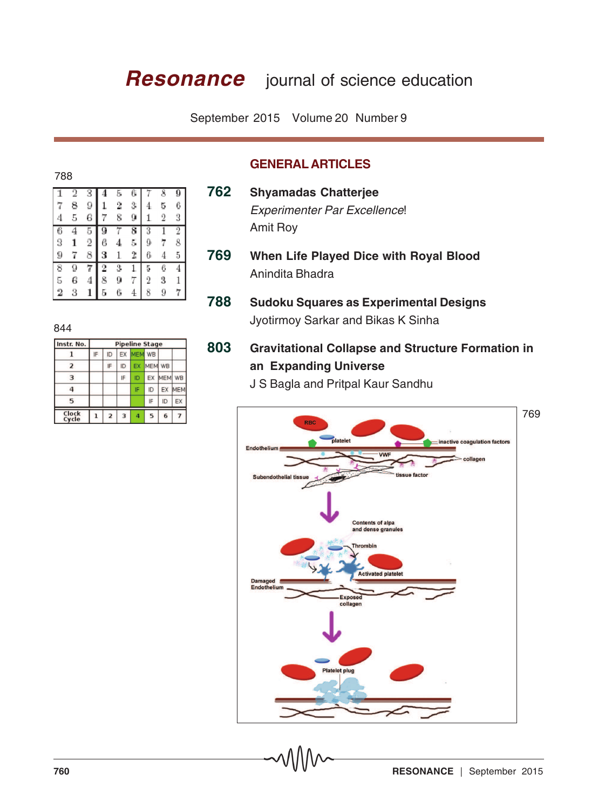# **Resonance** journal of science education

September 2015 Volume 20 Number 9

### 788

|   | 2 | 3              |   |                |    |   |                |   |
|---|---|----------------|---|----------------|----|---|----------------|---|
|   |   |                |   | 5              |    |   | 8              |   |
|   | 8 | 9              |   | $\overline{2}$ | 3  |   | 5              | 6 |
| 4 | 5 | 6              | 7 | 8              |    | 1 | $\overline{2}$ | 3 |
| 6 |   | 5              | 9 |                | 8  | 3 |                | 2 |
| 9 |   | $\overline{2}$ | 6 | $\bf{4}$       | 5, | ŷ |                | 8 |
| 9 | 7 | 8              | з |                | 2  | 6 |                | 5 |
|   |   |                |   |                |    |   |                |   |
| 8 | 9 |                | 2 | 3              |    | 5 | 6              | 4 |
| 5 | 6 | 4              | 8 | g              | 7  | 2 | 3              |   |

### **GENERAL ARTICLES**

- **769 When Life Played Dice with Royal Blood** Anindita Bhadra
- **788 Sudoku Squares as Experimental Designs** Jyotirmoy Sarkar and Bikas K Sinha

# **803 Gravitational Collapse and Structure Formation in an Expanding Universe**

J S Bagla and Pritpal Kaur Sandhu



# 844

| Instr. No.     | <b>Pipeline Stage</b> |                |    |                |     |            |            |  |
|----------------|-----------------------|----------------|----|----------------|-----|------------|------------|--|
|                | IF                    | ID             | EX | MEM WB         |     |            |            |  |
| 2              |                       | IF             | ID | EX             | MEM | <b>WB</b>  |            |  |
| 3              |                       |                | IF | ID             | EX  | <b>MEM</b> | WB         |  |
| 4              |                       |                |    | IF             | ID  | EX         | <b>MEM</b> |  |
| 5              |                       |                |    |                | IF  | ID         | EX         |  |
| Clock<br>Cycle |                       | $\overline{2}$ | 3  | $\overline{a}$ | 5   | 6          |            |  |

**<sup>762</sup> Shyamadas Chatterjee** Experimenter Par Excellence! Amit Roy